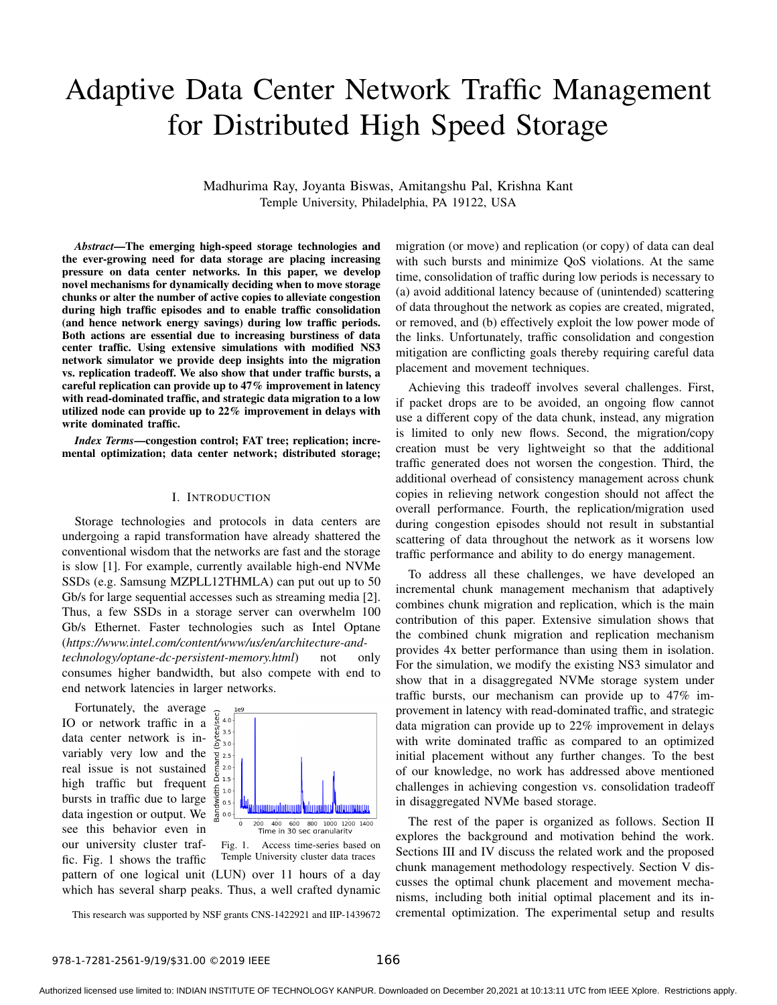# Adaptive Data Center Network Traffic Management for Distributed High Speed Storage

Madhurima Ray, Joyanta Biswas, Amitangshu Pal, Krishna Kant Temple University, Philadelphia, PA 19122, USA

*Abstract*—The emerging high-speed storage technologies and the ever-growing need for data storage are placing increasing pressure on data center networks. In this paper, we develop novel mechanisms for dynamically deciding when to move storage chunks or alter the number of active copies to alleviate congestion during high traffic episodes and to enable traffic consolidation (and hence network energy savings) during low traffic periods. Both actions are essential due to increasing burstiness of data center traffic. Using extensive simulations with modified NS3 network simulator we provide deep insights into the migration vs. replication tradeoff. We also show that under traffic bursts, a careful replication can provide up to 47% improvement in latency with read-dominated traffic, and strategic data migration to a low utilized node can provide up to 22% improvement in delays with write dominated traffic.

*Index Terms*—congestion control; FAT tree; replication; incremental optimization; data center network; distributed storage;

## I. INTRODUCTION

Storage technologies and protocols in data centers are undergoing a rapid transformation have already shattered the conventional wisdom that the networks are fast and the storage is slow [1]. For example, currently available high-end NVMe SSDs (e.g. Samsung MZPLL12THMLA) can put out up to 50 Gb/s for large sequential accesses such as streaming media [2]. Thus, a few SSDs in a storage server can overwhelm 100 Gb/s Ethernet. Faster technologies such as Intel Optane (*https://www.intel.com/content/www/us/en/architecture-and-*

*technology/optane-dc-persistent-memory.html*) not only consumes higher bandwidth, but also compete with end to end network latencies in larger networks.

Fortunately, the average IO or network traffic in a data center network is invariably very low and the real issue is not sustained high traffic but frequent bursts in traffic due to large data ingestion or output. We see this behavior even in our university cluster traffic. Fig. 1 shows the traffic



Fig. 1. Access time-series based on Temple University cluster data traces pattern of one logical unit (LUN) over 11 hours of a day which has several sharp peaks. Thus, a well crafted dynamic

This research was supported by NSF grants CNS-1422921 and IIP-1439672

migration (or move) and replication (or copy) of data can deal with such bursts and minimize QoS violations. At the same time, consolidation of traffic during low periods is necessary to (a) avoid additional latency because of (unintended) scattering of data throughout the network as copies are created, migrated, or removed, and (b) effectively exploit the low power mode of the links. Unfortunately, traffic consolidation and congestion mitigation are conflicting goals thereby requiring careful data placement and movement techniques.

Achieving this tradeoff involves several challenges. First, if packet drops are to be avoided, an ongoing flow cannot use a different copy of the data chunk, instead, any migration is limited to only new flows. Second, the migration/copy creation must be very lightweight so that the additional traffic generated does not worsen the congestion. Third, the additional overhead of consistency management across chunk copies in relieving network congestion should not affect the overall performance. Fourth, the replication/migration used during congestion episodes should not result in substantial scattering of data throughout the network as it worsens low traffic performance and ability to do energy management.

To address all these challenges, we have developed an incremental chunk management mechanism that adaptively combines chunk migration and replication, which is the main contribution of this paper. Extensive simulation shows that the combined chunk migration and replication mechanism provides 4x better performance than using them in isolation. For the simulation, we modify the existing NS3 simulator and show that in a disaggregated NVMe storage system under traffic bursts, our mechanism can provide up to 47% improvement in latency with read-dominated traffic, and strategic data migration can provide up to 22% improvement in delays with write dominated traffic as compared to an optimized initial placement without any further changes. To the best of our knowledge, no work has addressed above mentioned challenges in achieving congestion vs. consolidation tradeoff in disaggregated NVMe based storage.

The rest of the paper is organized as follows. Section II explores the background and motivation behind the work. Sections III and IV discuss the related work and the proposed chunk management methodology respectively. Section V discusses the optimal chunk placement and movement mechanisms, including both initial optimal placement and its incremental optimization. The experimental setup and results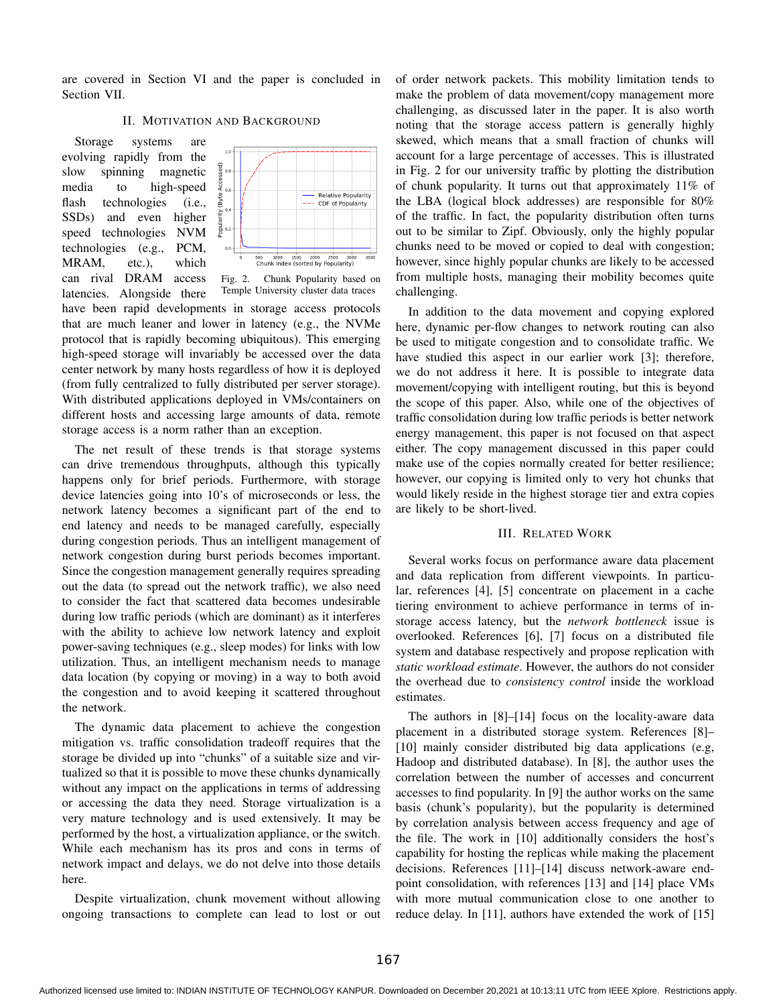are covered in Section VI and the paper is concluded in Section VII.

# II. MOTIVATION AND BACKGROUND

Storage systems are evolving rapidly from the slow spinning magnetic media to high-speed flash technologies (i.e., SSDs) and even higher speed technologies NVM technologies (e.g., PCM, MRAM, etc.), which can rival DRAM access



Fig. 2. Chunk Popularity based on

Temple University cluster data traces latencies. Alongside there have been rapid developments in storage access protocols that are much leaner and lower in latency (e.g., the NVMe protocol that is rapidly becoming ubiquitous). This emerging high-speed storage will invariably be accessed over the data center network by many hosts regardless of how it is deployed (from fully centralized to fully distributed per server storage). With distributed applications deployed in VMs/containers on different hosts and accessing large amounts of data, remote storage access is a norm rather than an exception.

The net result of these trends is that storage systems can drive tremendous throughputs, although this typically happens only for brief periods. Furthermore, with storage device latencies going into 10's of microseconds or less, the network latency becomes a significant part of the end to end latency and needs to be managed carefully, especially during congestion periods. Thus an intelligent management of network congestion during burst periods becomes important. Since the congestion management generally requires spreading out the data (to spread out the network traffic), we also need to consider the fact that scattered data becomes undesirable during low traffic periods (which are dominant) as it interferes with the ability to achieve low network latency and exploit power-saving techniques (e.g., sleep modes) for links with low utilization. Thus, an intelligent mechanism needs to manage data location (by copying or moving) in a way to both avoid the congestion and to avoid keeping it scattered throughout the network.

The dynamic data placement to achieve the congestion mitigation vs. traffic consolidation tradeoff requires that the storage be divided up into "chunks" of a suitable size and virtualized so that it is possible to move these chunks dynamically without any impact on the applications in terms of addressing or accessing the data they need. Storage virtualization is a very mature technology and is used extensively. It may be performed by the host, a virtualization appliance, or the switch. While each mechanism has its pros and cons in terms of network impact and delays, we do not delve into those details here.

Despite virtualization, chunk movement without allowing ongoing transactions to complete can lead to lost or out of order network packets. This mobility limitation tends to make the problem of data movement/copy management more challenging, as discussed later in the paper. It is also worth noting that the storage access pattern is generally highly skewed, which means that a small fraction of chunks will account for a large percentage of accesses. This is illustrated in Fig. 2 for our university traffic by plotting the distribution of chunk popularity. It turns out that approximately 11% of the LBA (logical block addresses) are responsible for 80% of the traffic. In fact, the popularity distribution often turns out to be similar to Zipf. Obviously, only the highly popular chunks need to be moved or copied to deal with congestion; however, since highly popular chunks are likely to be accessed from multiple hosts, managing their mobility becomes quite challenging.

In addition to the data movement and copying explored here, dynamic per-flow changes to network routing can also be used to mitigate congestion and to consolidate traffic. We have studied this aspect in our earlier work [3]; therefore, we do not address it here. It is possible to integrate data movement/copying with intelligent routing, but this is beyond the scope of this paper. Also, while one of the objectives of traffic consolidation during low traffic periods is better network energy management, this paper is not focused on that aspect either. The copy management discussed in this paper could make use of the copies normally created for better resilience; however, our copying is limited only to very hot chunks that would likely reside in the highest storage tier and extra copies are likely to be short-lived.

## III. RELATED WORK

Several works focus on performance aware data placement and data replication from different viewpoints. In particular, references [4], [5] concentrate on placement in a cache tiering environment to achieve performance in terms of instorage access latency, but the *network bottleneck* issue is overlooked. References [6], [7] focus on a distributed file system and database respectively and propose replication with *static workload estimate*. However, the authors do not consider the overhead due to *consistency control* inside the workload estimates.

The authors in [8]–[14] focus on the locality-aware data placement in a distributed storage system. References [8]– [10] mainly consider distributed big data applications (e.g, Hadoop and distributed database). In [8], the author uses the correlation between the number of accesses and concurrent accesses to find popularity. In [9] the author works on the same basis (chunk's popularity), but the popularity is determined by correlation analysis between access frequency and age of the file. The work in [10] additionally considers the host's capability for hosting the replicas while making the placement decisions. References [11]–[14] discuss network-aware endpoint consolidation, with references [13] and [14] place VMs with more mutual communication close to one another to reduce delay. In [11], authors have extended the work of [15]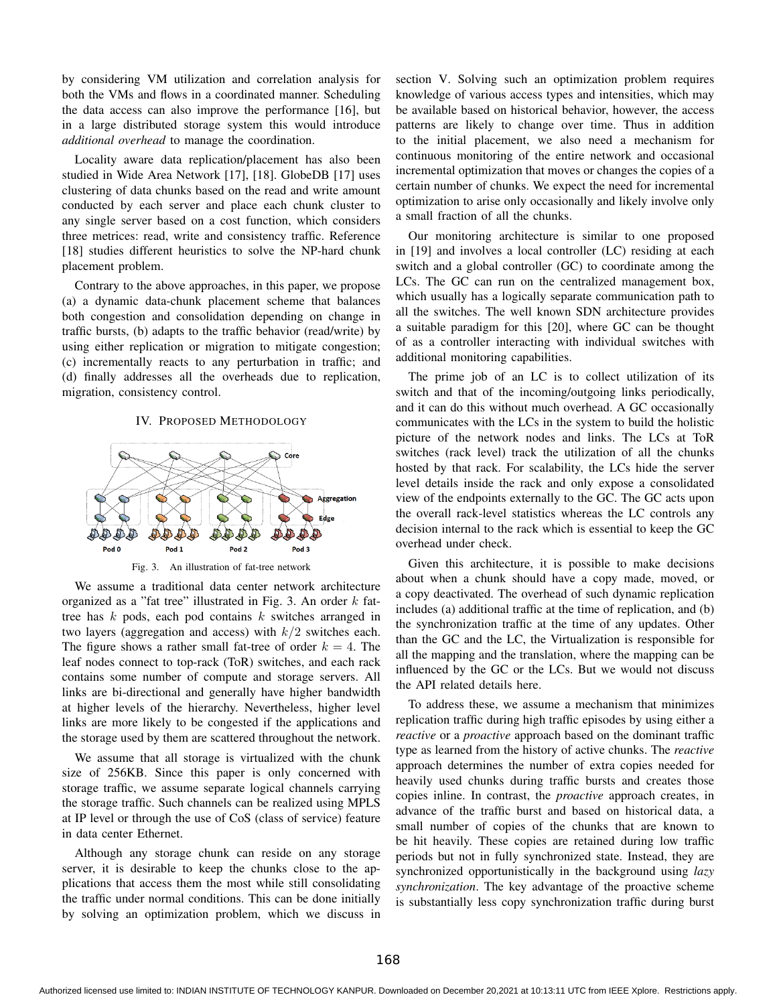by considering VM utilization and correlation analysis for both the VMs and flows in a coordinated manner. Scheduling the data access can also improve the performance [16], but in a large distributed storage system this would introduce *additional overhead* to manage the coordination.

Locality aware data replication/placement has also been studied in Wide Area Network [17], [18]. GlobeDB [17] uses clustering of data chunks based on the read and write amount conducted by each server and place each chunk cluster to any single server based on a cost function, which considers three metrices: read, write and consistency traffic. Reference [18] studies different heuristics to solve the NP-hard chunk placement problem.

Contrary to the above approaches, in this paper, we propose (a) a dynamic data-chunk placement scheme that balances both congestion and consolidation depending on change in traffic bursts, (b) adapts to the traffic behavior (read/write) by using either replication or migration to mitigate congestion; (c) incrementally reacts to any perturbation in traffic; and (d) finally addresses all the overheads due to replication, migration, consistency control.

#### IV. PROPOSED METHODOLOGY



Fig. 3. An illustration of fat-tree network

We assume a traditional data center network architecture organized as a "fat tree" illustrated in Fig. 3. An order  $k$  fattree has  $k$  pods, each pod contains  $k$  switches arranged in two layers (aggregation and access) with  $k/2$  switches each. The figure shows a rather small fat-tree of order  $k = 4$ . The leaf nodes connect to top-rack (ToR) switches, and each rack contains some number of compute and storage servers. All links are bi-directional and generally have higher bandwidth at higher levels of the hierarchy. Nevertheless, higher level links are more likely to be congested if the applications and the storage used by them are scattered throughout the network.

We assume that all storage is virtualized with the chunk size of 256KB. Since this paper is only concerned with storage traffic, we assume separate logical channels carrying the storage traffic. Such channels can be realized using MPLS at IP level or through the use of CoS (class of service) feature in data center Ethernet.

Although any storage chunk can reside on any storage server, it is desirable to keep the chunks close to the applications that access them the most while still consolidating the traffic under normal conditions. This can be done initially by solving an optimization problem, which we discuss in

section V. Solving such an optimization problem requires knowledge of various access types and intensities, which may be available based on historical behavior, however, the access patterns are likely to change over time. Thus in addition to the initial placement, we also need a mechanism for continuous monitoring of the entire network and occasional incremental optimization that moves or changes the copies of a certain number of chunks. We expect the need for incremental optimization to arise only occasionally and likely involve only a small fraction of all the chunks.

Our monitoring architecture is similar to one proposed in [19] and involves a local controller (LC) residing at each switch and a global controller (GC) to coordinate among the LCs. The GC can run on the centralized management box, which usually has a logically separate communication path to all the switches. The well known SDN architecture provides a suitable paradigm for this [20], where GC can be thought of as a controller interacting with individual switches with additional monitoring capabilities.

The prime job of an LC is to collect utilization of its switch and that of the incoming/outgoing links periodically, and it can do this without much overhead. A GC occasionally communicates with the LCs in the system to build the holistic picture of the network nodes and links. The LCs at ToR switches (rack level) track the utilization of all the chunks hosted by that rack. For scalability, the LCs hide the server level details inside the rack and only expose a consolidated view of the endpoints externally to the GC. The GC acts upon the overall rack-level statistics whereas the LC controls any decision internal to the rack which is essential to keep the GC overhead under check.

Given this architecture, it is possible to make decisions about when a chunk should have a copy made, moved, or a copy deactivated. The overhead of such dynamic replication includes (a) additional traffic at the time of replication, and (b) the synchronization traffic at the time of any updates. Other than the GC and the LC, the Virtualization is responsible for all the mapping and the translation, where the mapping can be influenced by the GC or the LCs. But we would not discuss the API related details here.

To address these, we assume a mechanism that minimizes replication traffic during high traffic episodes by using either a *reactive* or a *proactive* approach based on the dominant traffic type as learned from the history of active chunks. The *reactive* approach determines the number of extra copies needed for heavily used chunks during traffic bursts and creates those copies inline. In contrast, the *proactive* approach creates, in advance of the traffic burst and based on historical data, a small number of copies of the chunks that are known to be hit heavily. These copies are retained during low traffic periods but not in fully synchronized state. Instead, they are synchronized opportunistically in the background using *lazy synchronization*. The key advantage of the proactive scheme is substantially less copy synchronization traffic during burst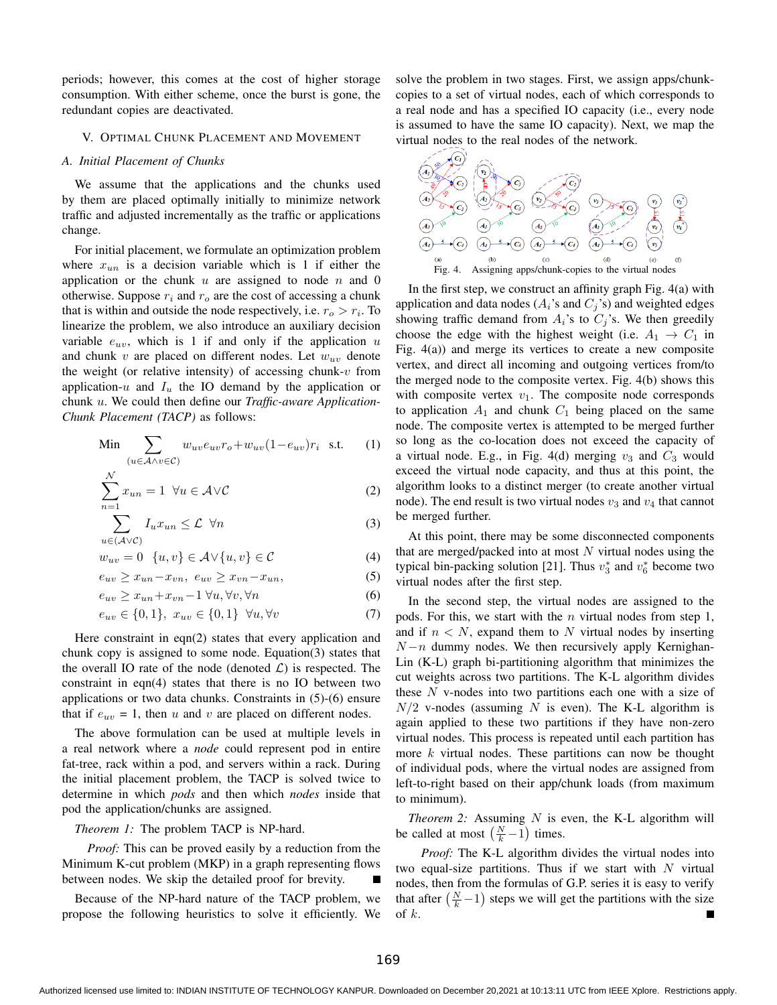periods; however, this comes at the cost of higher storage consumption. With either scheme, once the burst is gone, the redundant copies are deactivated.

## V. OPTIMAL CHUNK PLACEMENT AND MOVEMENT

# *A. Initial Placement of Chunks*

We assume that the applications and the chunks used by them are placed optimally initially to minimize network traffic and adjusted incrementally as the traffic or applications change.

For initial placement, we formulate an optimization problem where  $x_{un}$  is a decision variable which is 1 if either the application or the chunk  $u$  are assigned to node  $n$  and 0 otherwise. Suppose  $r_i$  and  $r_o$  are the cost of accessing a chunk that is within and outside the node respectively, i.e.  $r_o > r_i$ . To linearize the problem, we also introduce an auxiliary decision variable  $e_{uv}$ , which is 1 if and only if the application u and chunk  $v$  are placed on different nodes. Let  $w_{uv}$  denote the weight (or relative intensity) of accessing chunk- $v$  from application-u and  $I_u$  the IO demand by the application or chunk u. We could then define our *Traffic-aware Application-Chunk Placement (TACP)* as follows:

$$
\text{Min} \sum_{(u \in \mathcal{A} \land v \in \mathcal{C})} w_{uv} e_{uv} r_o + w_{uv} (1 - e_{uv}) r_i \quad \text{s.t.} \tag{1}
$$

$$
\sum_{n=1}^{N} x_{un} = 1 \ \forall u \in \mathcal{A} \vee \mathcal{C}
$$
 (2)

$$
\sum_{u \in (\mathcal{A} \vee \mathcal{C})} I_u x_{un} \le \mathcal{L} \quad \forall n \tag{3}
$$

$$
w_{uv} = 0 \quad \{u, v\} \in \mathcal{A} \lor \{u, v\} \in \mathcal{C}
$$
 (4)

$$
e_{uv} \ge x_{un} - x_{vn}, \ e_{uv} \ge x_{vn} - x_{un}, \tag{5}
$$

$$
e_{uv} \ge x_{un} + x_{vn} - 1 \,\forall u, \forall v, \forall n \tag{6}
$$

$$
e_{uv} \in \{0, 1\}, \ x_{uv} \in \{0, 1\} \ \forall u, \forall v \tag{7}
$$

Here constraint in eqn(2) states that every application and chunk copy is assigned to some node. Equation(3) states that the overall IO rate of the node (denoted  $\mathcal{L}$ ) is respected. The constraint in eqn(4) states that there is no IO between two applications or two data chunks. Constraints in (5)-(6) ensure that if  $e_{uv} = 1$ , then u and v are placed on different nodes.

The above formulation can be used at multiple levels in a real network where a *node* could represent pod in entire fat-tree, rack within a pod, and servers within a rack. During the initial placement problem, the TACP is solved twice to determine in which *pods* and then which *nodes* inside that pod the application/chunks are assigned.

*Theorem 1:* The problem TACP is NP-hard.

*Proof:* This can be proved easily by a reduction from the Minimum K-cut problem (MKP) in a graph representing flows between nodes. We skip the detailed proof for brevity.

Because of the NP-hard nature of the TACP problem, we propose the following heuristics to solve it efficiently. We solve the problem in two stages. First, we assign apps/chunkcopies to a set of virtual nodes, each of which corresponds to a real node and has a specified IO capacity (i.e., every node is assumed to have the same IO capacity). Next, we map the virtual nodes to the real nodes of the network.



In the first step, we construct an affinity graph Fig. 4(a) with application and data nodes  $(A_i)$ 's and  $C_j$ 's) and weighted edges showing traffic demand from  $A_i$ 's to  $C_j$ 's. We then greedily choose the edge with the highest weight (i.e.  $A_1 \rightarrow C_1$  in Fig. 4(a)) and merge its vertices to create a new composite vertex, and direct all incoming and outgoing vertices from/to the merged node to the composite vertex. Fig. 4(b) shows this with composite vertex  $v_1$ . The composite node corresponds to application  $A_1$  and chunk  $C_1$  being placed on the same node. The composite vertex is attempted to be merged further so long as the co-location does not exceed the capacity of a virtual node. E.g., in Fig. 4(d) merging  $v_3$  and  $C_3$  would exceed the virtual node capacity, and thus at this point, the algorithm looks to a distinct merger (to create another virtual node). The end result is two virtual nodes  $v_3$  and  $v_4$  that cannot be merged further.

At this point, there may be some disconnected components that are merged/packed into at most  $N$  virtual nodes using the typical bin-packing solution [21]. Thus  $v_3^*$  and  $v_6^*$  become two virtual nodes after the first step.

In the second step, the virtual nodes are assigned to the pods. For this, we start with the  $n$  virtual nodes from step 1, and if  $n \leq N$ , expand them to N virtual nodes by inserting  $N - n$  dummy nodes. We then recursively apply Kernighan-Lin (K-L) graph bi-partitioning algorithm that minimizes the cut weights across two partitions. The K-L algorithm divides these  $N$  v-nodes into two partitions each one with a size of  $N/2$  v-nodes (assuming N is even). The K-L algorithm is again applied to these two partitions if they have non-zero virtual nodes. This process is repeated until each partition has more  $k$  virtual nodes. These partitions can now be thought of individual pods, where the virtual nodes are assigned from left-to-right based on their app/chunk loads (from maximum to minimum).

*Theorem 2:* Assuming  $N$  is even, the K-L algorithm will be called at most  $\left(\frac{N}{k} - 1\right)$  times.

*Proof:* The K-L algorithm divides the virtual nodes into two equal-size partitions. Thus if we start with  $N$  virtual nodes, then from the formulas of G.P. series it is easy to verify that after  $\left(\frac{N}{k} - 1\right)$  steps we will get the partitions with the size of  $k$ .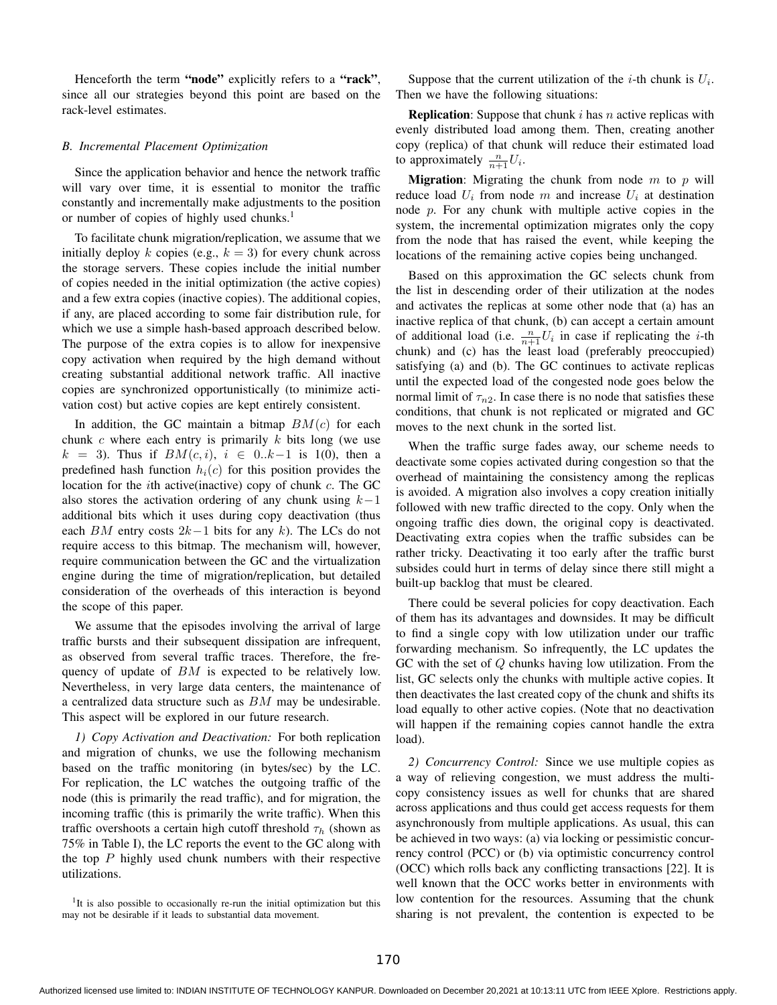Henceforth the term "node" explicitly refers to a "rack", since all our strategies beyond this point are based on the rack-level estimates.

## *B. Incremental Placement Optimization*

Since the application behavior and hence the network traffic will vary over time, it is essential to monitor the traffic constantly and incrementally make adjustments to the position or number of copies of highly used chunks.<sup>1</sup>

To facilitate chunk migration/replication, we assume that we initially deploy k copies (e.g.,  $k = 3$ ) for every chunk across the storage servers. These copies include the initial number of copies needed in the initial optimization (the active copies) and a few extra copies (inactive copies). The additional copies, if any, are placed according to some fair distribution rule, for which we use a simple hash-based approach described below. The purpose of the extra copies is to allow for inexpensive copy activation when required by the high demand without creating substantial additional network traffic. All inactive copies are synchronized opportunistically (to minimize activation cost) but active copies are kept entirely consistent.

In addition, the GC maintain a bitmap  $BM(c)$  for each chunk  $c$  where each entry is primarily  $k$  bits long (we use  $k = 3$ ). Thus if  $BM(c, i)$ ,  $i \in 0..k-1$  is 1(0), then a predefined hash function  $h_i(c)$  for this position provides the location for the ith active(inactive) copy of chunk c. The GC also stores the activation ordering of any chunk using  $k-1$ additional bits which it uses during copy deactivation (thus each BM entry costs  $2k-1$  bits for any k). The LCs do not require access to this bitmap. The mechanism will, however, require communication between the GC and the virtualization engine during the time of migration/replication, but detailed consideration of the overheads of this interaction is beyond the scope of this paper.

We assume that the episodes involving the arrival of large traffic bursts and their subsequent dissipation are infrequent, as observed from several traffic traces. Therefore, the frequency of update of BM is expected to be relatively low. Nevertheless, in very large data centers, the maintenance of a centralized data structure such as BM may be undesirable. This aspect will be explored in our future research.

*1) Copy Activation and Deactivation:* For both replication and migration of chunks, we use the following mechanism based on the traffic monitoring (in bytes/sec) by the LC. For replication, the LC watches the outgoing traffic of the node (this is primarily the read traffic), and for migration, the incoming traffic (this is primarily the write traffic). When this traffic overshoots a certain high cutoff threshold  $\tau_h$  (shown as 75% in Table I), the LC reports the event to the GC along with the top  $P$  highly used chunk numbers with their respective utilizations.

<sup>1</sup>It is also possible to occasionally re-run the initial optimization but this may not be desirable if it leads to substantial data movement.

Suppose that the current utilization of the *i*-th chunk is  $U_i$ . Then we have the following situations:

**Replication:** Suppose that chunk  $i$  has  $n$  active replicas with evenly distributed load among them. Then, creating another copy (replica) of that chunk will reduce their estimated load to approximately  $\frac{n}{n+1}U_i$ .

**Migration:** Migrating the chunk from node  $m$  to  $p$  will reduce load  $U_i$  from node m and increase  $U_i$  at destination node  $p$ . For any chunk with multiple active copies in the system, the incremental optimization migrates only the copy from the node that has raised the event, while keeping the locations of the remaining active copies being unchanged.

Based on this approximation the GC selects chunk from the list in descending order of their utilization at the nodes and activates the replicas at some other node that (a) has an inactive replica of that chunk, (b) can accept a certain amount of additional load (i.e.  $\frac{n}{n+1}U_i$  in case if replicating the *i*-th chunk) and (c) has the least load (preferably preoccupied) satisfying (a) and (b). The GC continues to activate replicas until the expected load of the congested node goes below the normal limit of  $\tau_{n2}$ . In case there is no node that satisfies these conditions, that chunk is not replicated or migrated and GC moves to the next chunk in the sorted list.

When the traffic surge fades away, our scheme needs to deactivate some copies activated during congestion so that the overhead of maintaining the consistency among the replicas is avoided. A migration also involves a copy creation initially followed with new traffic directed to the copy. Only when the ongoing traffic dies down, the original copy is deactivated. Deactivating extra copies when the traffic subsides can be rather tricky. Deactivating it too early after the traffic burst subsides could hurt in terms of delay since there still might a built-up backlog that must be cleared.

There could be several policies for copy deactivation. Each of them has its advantages and downsides. It may be difficult to find a single copy with low utilization under our traffic forwarding mechanism. So infrequently, the LC updates the GC with the set of  $Q$  chunks having low utilization. From the list, GC selects only the chunks with multiple active copies. It then deactivates the last created copy of the chunk and shifts its load equally to other active copies. (Note that no deactivation will happen if the remaining copies cannot handle the extra load).

*2) Concurrency Control:* Since we use multiple copies as a way of relieving congestion, we must address the multicopy consistency issues as well for chunks that are shared across applications and thus could get access requests for them asynchronously from multiple applications. As usual, this can be achieved in two ways: (a) via locking or pessimistic concurrency control (PCC) or (b) via optimistic concurrency control (OCC) which rolls back any conflicting transactions [22]. It is well known that the OCC works better in environments with low contention for the resources. Assuming that the chunk sharing is not prevalent, the contention is expected to be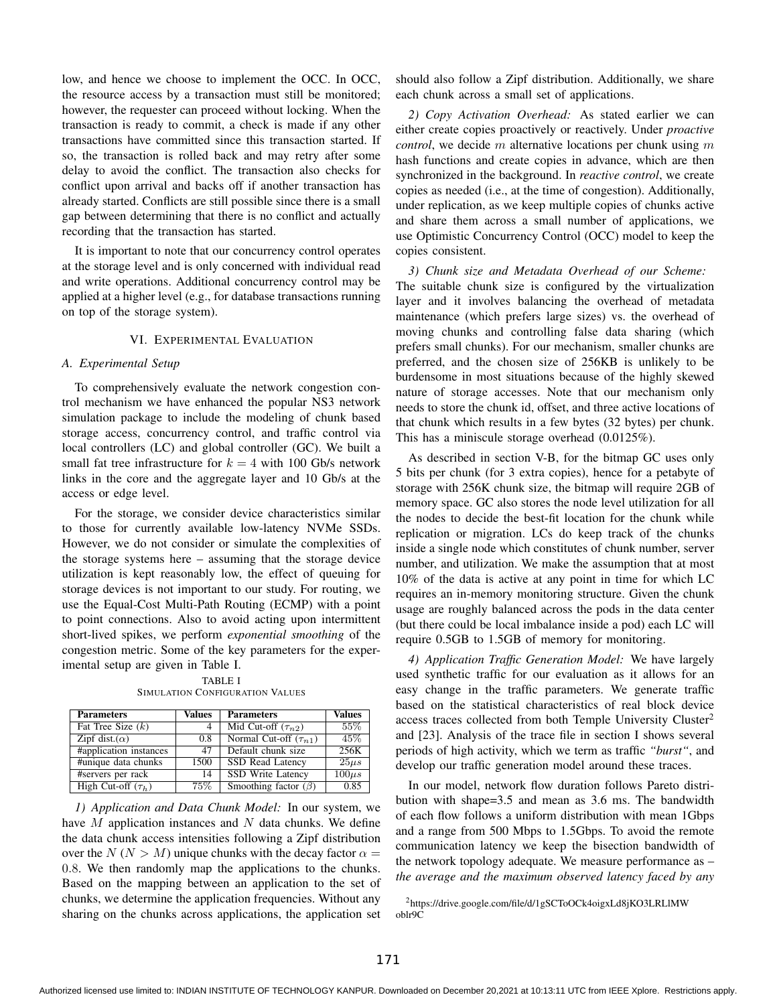low, and hence we choose to implement the OCC. In OCC, the resource access by a transaction must still be monitored; however, the requester can proceed without locking. When the transaction is ready to commit, a check is made if any other transactions have committed since this transaction started. If so, the transaction is rolled back and may retry after some delay to avoid the conflict. The transaction also checks for conflict upon arrival and backs off if another transaction has already started. Conflicts are still possible since there is a small gap between determining that there is no conflict and actually recording that the transaction has started.

It is important to note that our concurrency control operates at the storage level and is only concerned with individual read and write operations. Additional concurrency control may be applied at a higher level (e.g., for database transactions running on top of the storage system).

## VI. EXPERIMENTAL EVALUATION

#### *A. Experimental Setup*

To comprehensively evaluate the network congestion control mechanism we have enhanced the popular NS3 network simulation package to include the modeling of chunk based storage access, concurrency control, and traffic control via local controllers (LC) and global controller (GC). We built a small fat tree infrastructure for  $k = 4$  with 100 Gb/s network links in the core and the aggregate layer and 10 Gb/s at the access or edge level.

For the storage, we consider device characteristics similar to those for currently available low-latency NVMe SSDs. However, we do not consider or simulate the complexities of the storage systems here – assuming that the storage device utilization is kept reasonably low, the effect of queuing for storage devices is not important to our study. For routing, we use the Equal-Cost Multi-Path Routing (ECMP) with a point to point connections. Also to avoid acting upon intermittent short-lived spikes, we perform *exponential smoothing* of the congestion metric. Some of the key parameters for the experimental setup are given in Table I.

TABLE I SIMULATION CONFIGURATION VALUES

| <b>Parameters</b>       | Values | <b>Parameters</b>            | <b>Values</b> |
|-------------------------|--------|------------------------------|---------------|
| Fat Tree Size $(k)$     | 4      | Mid Cut-off $(\tau_{n2})$    | 55%           |
| Zipf dist. $(\alpha)$   | 0.8    | Normal Cut-off $(\tau_{n1})$ | 45\%          |
| #application instances  | 47     | Default chunk size           | 256K          |
| #unique data chunks     | 1500   | <b>SSD Read Latency</b>      | $25\mu s$     |
| #servers per rack       | 14     | <b>SSD Write Latency</b>     | $100\mu s$    |
| High Cut-off $(\tau_h)$ | $75\%$ | Smoothing factor $(\beta)$   | 0.85          |

*1) Application and Data Chunk Model:* In our system, we have  $M$  application instances and  $N$  data chunks. We define the data chunk access intensities following a Zipf distribution over the  $N (N > M)$  unique chunks with the decay factor  $\alpha =$ 0.8. We then randomly map the applications to the chunks. Based on the mapping between an application to the set of chunks, we determine the application frequencies. Without any sharing on the chunks across applications, the application set should also follow a Zipf distribution. Additionally, we share each chunk across a small set of applications.

*2) Copy Activation Overhead:* As stated earlier we can either create copies proactively or reactively. Under *proactive control*, we decide m alternative locations per chunk using m hash functions and create copies in advance, which are then synchronized in the background. In *reactive control*, we create copies as needed (i.e., at the time of congestion). Additionally, under replication, as we keep multiple copies of chunks active and share them across a small number of applications, we use Optimistic Concurrency Control (OCC) model to keep the copies consistent.

*3) Chunk size and Metadata Overhead of our Scheme:* The suitable chunk size is configured by the virtualization layer and it involves balancing the overhead of metadata maintenance (which prefers large sizes) vs. the overhead of moving chunks and controlling false data sharing (which prefers small chunks). For our mechanism, smaller chunks are preferred, and the chosen size of 256KB is unlikely to be burdensome in most situations because of the highly skewed nature of storage accesses. Note that our mechanism only needs to store the chunk id, offset, and three active locations of that chunk which results in a few bytes (32 bytes) per chunk. This has a miniscule storage overhead (0.0125%).

As described in section V-B, for the bitmap GC uses only 5 bits per chunk (for 3 extra copies), hence for a petabyte of storage with 256K chunk size, the bitmap will require 2GB of memory space. GC also stores the node level utilization for all the nodes to decide the best-fit location for the chunk while replication or migration. LCs do keep track of the chunks inside a single node which constitutes of chunk number, server number, and utilization. We make the assumption that at most 10% of the data is active at any point in time for which LC requires an in-memory monitoring structure. Given the chunk usage are roughly balanced across the pods in the data center (but there could be local imbalance inside a pod) each LC will require 0.5GB to 1.5GB of memory for monitoring.

*4) Application Traffic Generation Model:* We have largely used synthetic traffic for our evaluation as it allows for an easy change in the traffic parameters. We generate traffic based on the statistical characteristics of real block device access traces collected from both Temple University Cluster<sup>2</sup> and [23]. Analysis of the trace file in section I shows several periods of high activity, which we term as traffic *"burst"*, and develop our traffic generation model around these traces.

In our model, network flow duration follows Pareto distribution with shape=3.5 and mean as 3.6 ms. The bandwidth of each flow follows a uniform distribution with mean 1Gbps and a range from 500 Mbps to 1.5Gbps. To avoid the remote communication latency we keep the bisection bandwidth of the network topology adequate. We measure performance as – *the average and the maximum observed latency faced by any*

<sup>2</sup>https://drive.google.com/file/d/1gSCToOCk4oigxLd8jKO3LRLlMW oblr9C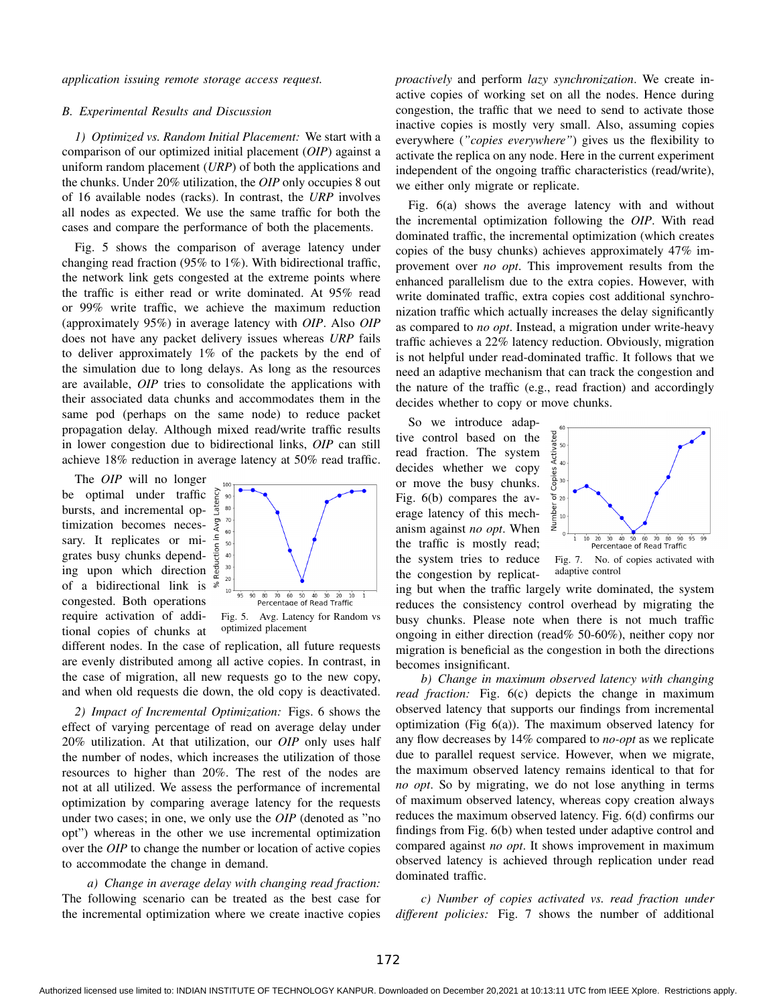*application issuing remote storage access request.*

## *B. Experimental Results and Discussion*

*1) Optimized vs. Random Initial Placement:* We start with a comparison of our optimized initial placement (*OIP*) against a uniform random placement (*URP*) of both the applications and the chunks. Under 20% utilization, the *OIP* only occupies 8 out of 16 available nodes (racks). In contrast, the *URP* involves all nodes as expected. We use the same traffic for both the cases and compare the performance of both the placements.

Fig. 5 shows the comparison of average latency under changing read fraction (95% to 1%). With bidirectional traffic, the network link gets congested at the extreme points where the traffic is either read or write dominated. At 95% read or 99% write traffic, we achieve the maximum reduction (approximately 95%) in average latency with *OIP*. Also *OIP* does not have any packet delivery issues whereas *URP* fails to deliver approximately 1% of the packets by the end of the simulation due to long delays. As long as the resources are available, *OIP* tries to consolidate the applications with their associated data chunks and accommodates them in the same pod (perhaps on the same node) to reduce packet propagation delay. Although mixed read/write traffic results in lower congestion due to bidirectional links, *OIP* can still achieve 18% reduction in average latency at 50% read traffic.

The *OIP* will no longer be optimal under traffic bursts, and incremental optimization becomes necessary. It replicates or migrates busy chunks depending upon which direction of a bidirectional link is congested. Both operations require activation of additional copies of chunks at



Fig. 5. Avg. Latency for Random vs optimized placement

different nodes. In the case of replication, all future requests are evenly distributed among all active copies. In contrast, in the case of migration, all new requests go to the new copy, and when old requests die down, the old copy is deactivated.

*2) Impact of Incremental Optimization:* Figs. 6 shows the effect of varying percentage of read on average delay under 20% utilization. At that utilization, our *OIP* only uses half the number of nodes, which increases the utilization of those resources to higher than 20%. The rest of the nodes are not at all utilized. We assess the performance of incremental optimization by comparing average latency for the requests under two cases; in one, we only use the *OIP* (denoted as "no opt") whereas in the other we use incremental optimization over the *OIP* to change the number or location of active copies to accommodate the change in demand.

*a) Change in average delay with changing read fraction:* The following scenario can be treated as the best case for the incremental optimization where we create inactive copies *proactively* and perform *lazy synchronization*. We create inactive copies of working set on all the nodes. Hence during congestion, the traffic that we need to send to activate those inactive copies is mostly very small. Also, assuming copies everywhere (*"copies everywhere"*) gives us the flexibility to activate the replica on any node. Here in the current experiment independent of the ongoing traffic characteristics (read/write), we either only migrate or replicate.

Fig. 6(a) shows the average latency with and without the incremental optimization following the *OIP*. With read dominated traffic, the incremental optimization (which creates copies of the busy chunks) achieves approximately 47% improvement over *no opt*. This improvement results from the enhanced parallelism due to the extra copies. However, with write dominated traffic, extra copies cost additional synchronization traffic which actually increases the delay significantly as compared to *no opt*. Instead, a migration under write-heavy traffic achieves a 22% latency reduction. Obviously, migration is not helpful under read-dominated traffic. It follows that we need an adaptive mechanism that can track the congestion and the nature of the traffic (e.g., read fraction) and accordingly decides whether to copy or move chunks.

So we introduce adaptive control based on the read fraction. The system decides whether we copy or move the busy chunks. Fig. 6(b) compares the average latency of this mechanism against *no opt*. When the traffic is mostly read; the system tries to reduce the congestion by replicat-





ing but when the traffic largely write dominated, the system reduces the consistency control overhead by migrating the busy chunks. Please note when there is not much traffic ongoing in either direction (read% 50-60%), neither copy nor migration is beneficial as the congestion in both the directions becomes insignificant.

*b) Change in maximum observed latency with changing read fraction:* Fig. 6(c) depicts the change in maximum observed latency that supports our findings from incremental optimization (Fig  $6(a)$ ). The maximum observed latency for any flow decreases by 14% compared to *no-opt* as we replicate due to parallel request service. However, when we migrate, the maximum observed latency remains identical to that for *no opt*. So by migrating, we do not lose anything in terms of maximum observed latency, whereas copy creation always reduces the maximum observed latency. Fig. 6(d) confirms our findings from Fig. 6(b) when tested under adaptive control and compared against *no opt*. It shows improvement in maximum observed latency is achieved through replication under read dominated traffic.

*c) Number of copies activated vs. read fraction under different policies:* Fig. 7 shows the number of additional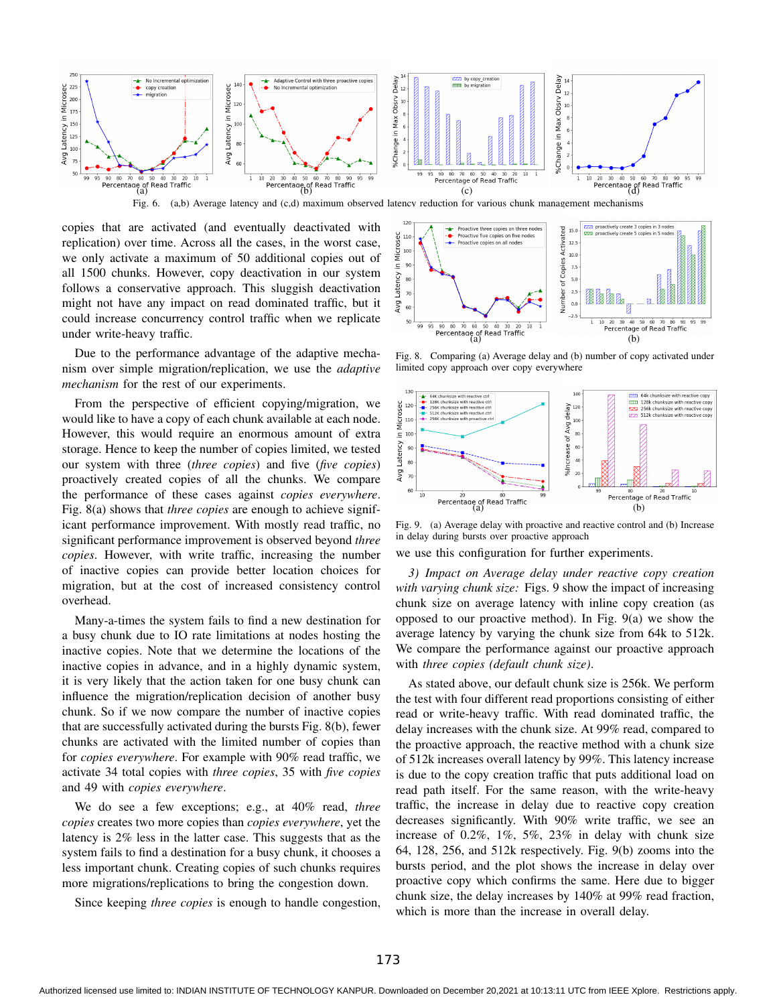

copies that are activated (and eventually deactivated with replication) over time. Across all the cases, in the worst case, we only activate a maximum of 50 additional copies out of all 1500 chunks. However, copy deactivation in our system follows a conservative approach. This sluggish deactivation might not have any impact on read dominated traffic, but it could increase concurrency control traffic when we replicate under write-heavy traffic.

Due to the performance advantage of the adaptive mechanism over simple migration/replication, we use the *adaptive mechanism* for the rest of our experiments.

From the perspective of efficient copying/migration, we would like to have a copy of each chunk available at each node. However, this would require an enormous amount of extra storage. Hence to keep the number of copies limited, we tested our system with three (*three copies*) and five (*five copies*) proactively created copies of all the chunks. We compare the performance of these cases against *copies everywhere*. Fig. 8(a) shows that *three copies* are enough to achieve significant performance improvement. With mostly read traffic, no significant performance improvement is observed beyond *three copies*. However, with write traffic, increasing the number of inactive copies can provide better location choices for migration, but at the cost of increased consistency control overhead.

Many-a-times the system fails to find a new destination for a busy chunk due to IO rate limitations at nodes hosting the inactive copies. Note that we determine the locations of the inactive copies in advance, and in a highly dynamic system, it is very likely that the action taken for one busy chunk can influence the migration/replication decision of another busy chunk. So if we now compare the number of inactive copies that are successfully activated during the bursts Fig. 8(b), fewer chunks are activated with the limited number of copies than for *copies everywhere*. For example with 90% read traffic, we activate 34 total copies with *three copies*, 35 with *five copies* and 49 with *copies everywhere*.

We do see a few exceptions; e.g., at 40% read, *three copies* creates two more copies than *copies everywhere*, yet the latency is 2% less in the latter case. This suggests that as the system fails to find a destination for a busy chunk, it chooses a less important chunk. Creating copies of such chunks requires more migrations/replications to bring the congestion down.

Since keeping *three copies* is enough to handle congestion,

Proactive three copies on three nodes<br>Proactive five copies on five nodes proactively create 3 copies in 3 nodes Number of Copies Activated 15.0 y in Microsec<br>
90<br>
90 roactively create 5 copies in 5 nodes  $\infty$  $12.5$ Proactive copies on all nodes  $10.0$  $7.5$ Latency  $5.0$  $80$  $7<sup>c</sup>$ Avg  $0.0$ 60  $\frac{95}{95}$   $\frac{90}{80}$   $\frac{80}{70}$   $\frac{60}{50}$   $\frac{50}{40}$   $\frac{40}{30}$   $\frac{30}{20}$   $\frac{1}{10}$   $\frac{1}{10}$   $\frac{1}{20}$   $\frac{30}{30}$   $\frac{40}{40}$ Percentage<br>
Percentage of Read Traffic
(a)
(b)  $99$ Percentage of Read Traffic  $10$ 

Fig. 8. Comparing (a) Average delay and (b) number of copy activated under limited copy approach over copy everywhere



Fig. 9. (a) Average delay with proactive and reactive control and (b) Increase in delay during bursts over proactive approach

we use this configuration for further experiments.

*3) Impact on Average delay under reactive copy creation with varying chunk size:* Figs. 9 show the impact of increasing chunk size on average latency with inline copy creation (as opposed to our proactive method). In Fig. 9(a) we show the average latency by varying the chunk size from 64k to 512k. We compare the performance against our proactive approach with *three copies (default chunk size)*.

As stated above, our default chunk size is 256k. We perform the test with four different read proportions consisting of either read or write-heavy traffic. With read dominated traffic, the delay increases with the chunk size. At 99% read, compared to the proactive approach, the reactive method with a chunk size of 512k increases overall latency by 99%. This latency increase is due to the copy creation traffic that puts additional load on read path itself. For the same reason, with the write-heavy traffic, the increase in delay due to reactive copy creation decreases significantly. With 90% write traffic, we see an increase of 0.2%, 1%, 5%, 23% in delay with chunk size 64, 128, 256, and 512k respectively. Fig. 9(b) zooms into the bursts period, and the plot shows the increase in delay over proactive copy which confirms the same. Here due to bigger chunk size, the delay increases by 140% at 99% read fraction, which is more than the increase in overall delay.